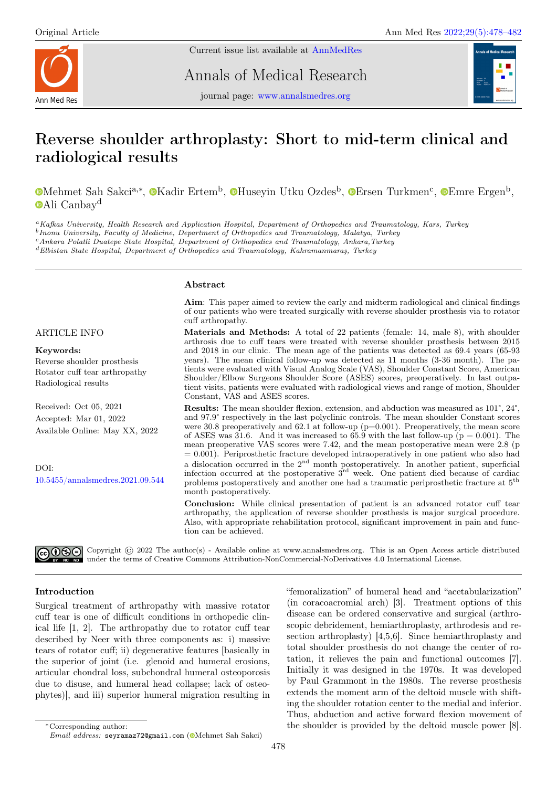Current issue list available at [AnnMedRes](https://annalsmedres.org/index.php/aomr/issue/view/163)



Annals of Medical Research



journal page: [www.annalsmedres.org](https://www.annalsmedres.org)

# Reverse shoulder arthroplasty: Short to mid-term clinical and radiological results

[M](https://orcid.org/0000-0003-2008-9332)ehmet Sah Sakci<sup>a,∗</sup>, ©[K](https://orcid.org/0000-0002-8892-494X)adir Ertem<sup>b</sup>, ©[H](https://orcid.org/0000-0003-4437-9860)useyin Utku Ozdes<sup>b</sup>, ©[E](https://orcid.org/0000-0002-6452-2401)rsen Turkmen<sup>c</sup>, ©Emre Ergen<sup>b</sup>, [A](https://orcid.org/0000-0001-6695-4235)li Canbay<sup>d</sup>

<sup>a</sup>Kafkas University, Health Research and Application Hospital, Department of Orthopedics and Traumatology, Kars, Turkey

<sup>b</sup> Inonu University, Faculty of Medicine, Department of Orthopedics and Traumatology, Malatya, Turkey

<sup>c</sup>Ankara Polatli Duatepe State Hospital, Department of Orthopedics and Traumatology, Ankara,Turkey

<sup>d</sup>Elbistan State Hospital, Department of Orthopedics and Traumatology, Kahramanmaraş, Turkey

#### Abstract

Aim: This paper aimed to review the early and midterm radiological and clinical findings of our patients who were treated surgically with reverse shoulder prosthesis via to rotator cuff arthropathy.

### ARTICLE INFO

#### Keywords:

Reverse shoulder prosthesis Rotator cuff tear arthropathy Radiological results

Received: Oct 05, 2021 Accepted: Mar 01, 2022 Available Online: May XX, 2022

DOI: [10.5455/annalsmedres.2021.09.544](https://doi.org/10.5455/annalsmedres.2021.09.544) Materials and Methods: A total of 22 patients (female: 14, male 8), with shoulder arthrosis due to cuff tears were treated with reverse shoulder prosthesis between 2015 and 2018 in our clinic. The mean age of the patients was detected as 69.4 years (65-93 years). The mean clinical follow-up was detected as 11 months (3-36 month). The patients were evaluated with Visual Analog Scale (VAS), Shoulder Constant Score, American Shoulder/Elbow Surgeons Shoulder Score (ASES) scores, preoperatively. In last outpatient visits, patients were evaluated with radiological views and range of motion, Shoulder Constant, VAS and ASES scores.

Results: The mean shoulder flexion, extension, and abduction was measured as 101°, 24°, and 97.9° respectively in the last polyclinic controls. The mean shoulder Constant scores were 30.8 preoperatively and 62.1 at follow-up  $(p=0.001)$ . Preoperatively, the mean score of ASES was 31.6. And it was increased to  $65.9$  with the last follow-up ( $p = 0.001$ ). The mean preoperative VAS scores were 7.42, and the mean postoperative mean were 2.8 (p  $= 0.001$ ). Periprosthetic fracture developed intraoperatively in one patient who also had a dislocation occurred in the  $2<sup>nd</sup>$  month postoperatively. In another patient, superficial infection occurred at the postoperative  $3<sup>rd</sup>$  week. One patient died because of cardiac problems postoperatively and another one had a traumatic periprosthetic fracture at 5th month postoperatively.

Conclusion: While clinical presentation of patient is an advanced rotator cuff tear arthropathy, the application of reverse shoulder prosthesis is major surgical procedure. Also, with appropriate rehabilitation protocol, significant improvement in pain and function can be achieved.

 $\widehat{\mathbb{G}(\mathbf{Q})}$  Copyright  $\widehat{\mathbb{C}}$  2022 The author(s) - Available online at www.annalsmedres.org. This is an Open Access article distributed under the terms of Creative Commons Attribution-NonCommercial-NoDerivatives 4.0 International License.

## Introduction

Surgical treatment of arthropathy with massive rotator cuff tear is one of difficult conditions in orthopedic clinical life [1, 2]. The arthropathy due to rotator cuff tear described by Neer with three components as: i) massive tears of rotator cuff; ii) degenerative features [basically in the superior of joint (i.e. glenoid and humeral erosions, articular chondral loss, subchondral humeral osteoporosis due to disuse, and humeral head collapse; lack of osteophytes)], and iii) superior humeral migration resulting in

"femoralization" of humeral head and "acetabularization" (in coracoacromial arch) [3]. Treatment options of this disease can be ordered conservative and surgical (arthroscopic debridement, hemiarthroplasty, arthrodesis and resection arthroplasty) [4,5,6]. Since hemiarthroplasty and total shoulder prosthesis do not change the center of rotation, it relieves the pain and functional outcomes [7]. Initially it was designed in the 1970s. It was developed by Paul Grammont in the 1980s. The reverse prosthesis extends the moment arm of the deltoid muscle with shifting the shoulder rotation center to the medial and inferior. Thus, abduction and active forward flexion movement of the shoulder is provided by the deltoid muscle power [8].

<sup>∗</sup>Corresponding author: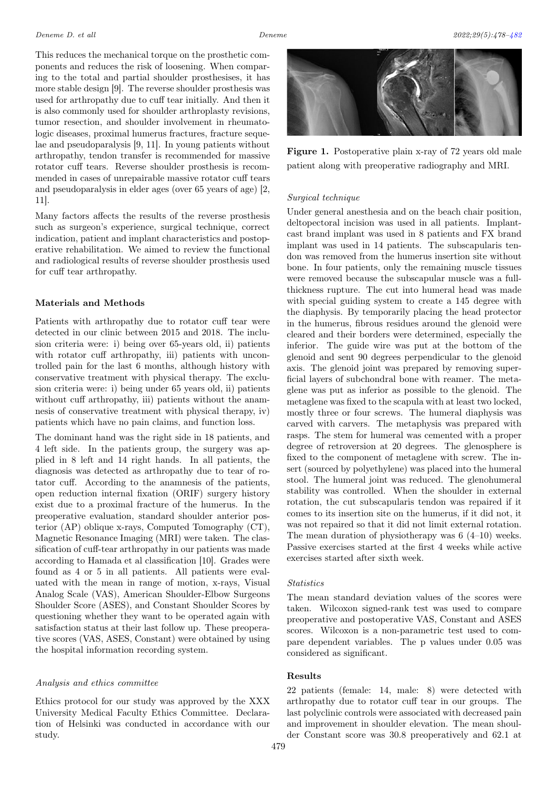This reduces the mechanical torque on the prosthetic components and reduces the risk of loosening. When comparing to the total and partial shoulder prosthesises, it has more stable design [9]. The reverse shoulder prosthesis was used for arthropathy due to cuff tear initially. And then it is also commonly used for shoulder arthroplasty revisions, tumor resection, and shoulder involvement in rheumatologic diseases, proximal humerus fractures, fracture sequelae and pseudoparalysis [9, 11]. In young patients without arthropathy, tendon transfer is recommended for massive rotator cuff tears. Reverse shoulder prosthesis is recommended in cases of unrepairable massive rotator cuff tears and pseudoparalysis in elder ages (over 65 years of age) [2, 11].

Many factors affects the results of the reverse prosthesis such as surgeon's experience, surgical technique, correct indication, patient and implant characteristics and postoperative rehabilitation. We aimed to review the functional and radiological results of reverse shoulder prosthesis used for cuff tear arthropathy.

#### Materials and Methods

Patients with arthropathy due to rotator cuff tear were detected in our clinic between 2015 and 2018. The inclusion criteria were: i) being over 65-years old, ii) patients with rotator cuff arthropathy, iii) patients with uncontrolled pain for the last 6 months, although history with conservative treatment with physical therapy. The exclusion criteria were: i) being under 65 years old, ii) patients without cuff arthropathy, iii) patients without the anamnesis of conservative treatment with physical therapy, iv) patients which have no pain claims, and function loss.

The dominant hand was the right side in 18 patients, and 4 left side. In the patients group, the surgery was applied in 8 left and 14 right hands. In all patients, the diagnosis was detected as arthropathy due to tear of rotator cuff. According to the anamnesis of the patients, open reduction internal fixation (ORIF) surgery history exist due to a proximal fracture of the humerus. In the preoperative evaluation, standard shoulder anterior posterior (AP) oblique x-rays, Computed Tomography (CT), Magnetic Resonance Imaging (MRI) were taken. The classification of cuff-tear arthropathy in our patients was made according to Hamada et al classification [10]. Grades were found as 4 or 5 in all patients. All patients were evaluated with the mean in range of motion, x-rays, Visual Analog Scale (VAS), American Shoulder-Elbow Surgeons Shoulder Score (ASES), and Constant Shoulder Scores by questioning whether they want to be operated again with satisfaction status at their last follow up. These preoperative scores (VAS, ASES, Constant) were obtained by using the hospital information recording system.

#### Analysis and ethics committee

Ethics protocol for our study was approved by the XXX University Medical Faculty Ethics Committee. Declaration of Helsinki was conducted in accordance with our study.



Figure 1. Postoperative plain x-ray of 72 years old male patient along with preoperative radiography and MRI.

#### Surgical technique

Under general anesthesia and on the beach chair position, deltopectoral incision was used in all patients. Implantcast brand implant was used in 8 patients and FX brand implant was used in 14 patients. The subscapularis tendon was removed from the humerus insertion site without bone. In four patients, only the remaining muscle tissues were removed because the subscapular muscle was a fullthickness rupture. The cut into humeral head was made with special guiding system to create a 145 degree with the diaphysis. By temporarily placing the head protector in the humerus, fibrous residues around the glenoid were cleared and their borders were determined, especially the inferior. The guide wire was put at the bottom of the glenoid and sent 90 degrees perpendicular to the glenoid axis. The glenoid joint was prepared by removing superficial layers of subchondral bone with reamer. The metaglene was put as inferior as possible to the glenoid. The metaglene was fixed to the scapula with at least two locked, mostly three or four screws. The humeral diaphysis was carved with carvers. The metaphysis was prepared with rasps. The stem for humeral was cemented with a proper degree of retroversion at 20 degrees. The glenosphere is fixed to the component of metaglene with screw. The insert (sourced by polyethylene) was placed into the humeral stool. The humeral joint was reduced. The glenohumeral stability was controlled. When the shoulder in external rotation, the cut subscapularis tendon was repaired if it comes to its insertion site on the humerus, if it did not, it was not repaired so that it did not limit external rotation. The mean duration of physiotherapy was  $6(4-10)$  weeks. Passive exercises started at the first 4 weeks while active exercises started after sixth week.

#### **Statistics**

The mean standard deviation values of the scores were taken. Wilcoxon signed-rank test was used to compare preoperative and postoperative VAS, Constant and ASES scores. Wilcoxon is a non-parametric test used to compare dependent variables. The p values under 0.05 was considered as significant.

#### Results

22 patients (female: 14, male: 8) were detected with arthropathy due to rotator cuff tear in our groups. The last polyclinic controls were associated with decreased pain and improvement in shoulder elevation. The mean shoulder Constant score was 30.8 preoperatively and 62.1 at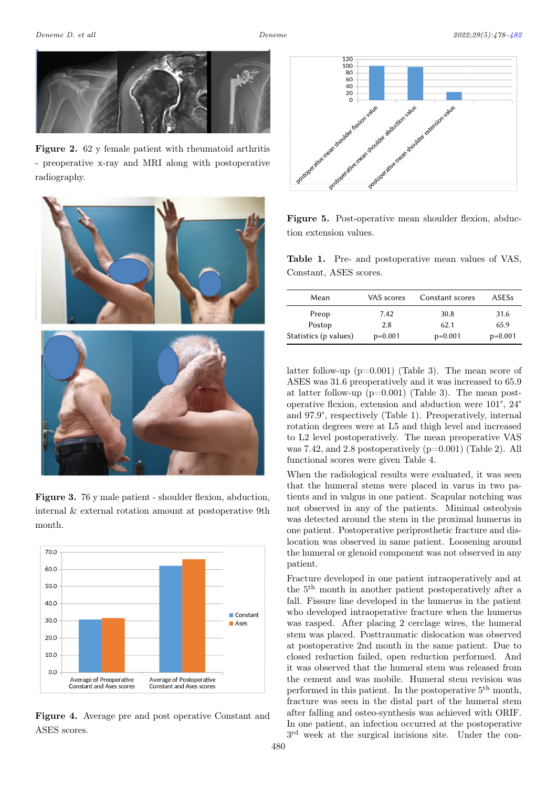

Figure 2. 62 y female patient with rheumatoid arthritis - preoperative x-ray and MRI along with postoperative radiography.



Figure 3. 76 y male patient - shoulder flexion, abduction, internal & external rotation amount at postoperative 9th month.



Figure 4. Average pre and post operative Constant and ASES scores.



Figure 5. Post-operative mean shoulder flexion, abduction extension values.

Table 1. Pre- and postoperative mean values of VAS, Constant, ASES scores.

<span id="page-2-0"></span>

| Mean                  | VAS scores | Constant scores | <b>ASESs</b> |
|-----------------------|------------|-----------------|--------------|
| Preop                 | 7.42       | 30.8            | 31.6         |
| Postop                | 2.8        | 62.1            | 65.9         |
| Statistics (p values) | $p=0.001$  | $p=0.001$       | $p=0.001$    |

latter follow-up  $(p=0.001)$  (Table 3). The mean score of ASES was 31.6 preoperatively and it was increased to 65.9 at latter follow-up  $(p=0.001)$  (Table 3). The mean postoperative flexion, extension and abduction were 101°, 24° and 97.9°, respectively (Table 1). Preoperatively, internal rotation degrees were at L5 and thigh level and increased to L2 level postoperatively. The mean preoperative VAS was 7.42, and 2.8 postoperatively (p=0.001) (Table 2). All functional scores were given Table 4.

When the radiological results were evaluated, it was seen that the humeral stems were placed in varus in two patients and in valgus in one patient. Scapular notching was not observed in any of the patients. Minimal osteolysis was detected around the stem in the proximal humerus in one patient. Postoperative periprosthetic fracture and dislocation was observed in same patient. Loosening around the humeral or glenoid component was not observed in any patient.

Fracture developed in one patient intraoperatively and at the 5th month in another patient postoperatively after a fall. Fissure line developed in the humerus in the patient who developed intraoperative fracture when the humerus was rasped. After placing 2 cerclage wires, the humeral stem was placed. Posttraumatic dislocation was observed at postoperative 2nd month in the same patient. Due to closed reduction failed, open reduction performed. And it was observed that the humeral stem was released from the cement and was mobile. Humeral stem revision was performed in this patient. In the postoperative 5th month, fracture was seen in the distal part of the humeral stem after falling and osteo-synthesis was achieved with ORIF. In one patient, an infection occurred at the postoperative 3 rd week at the surgical incisions site. Under the con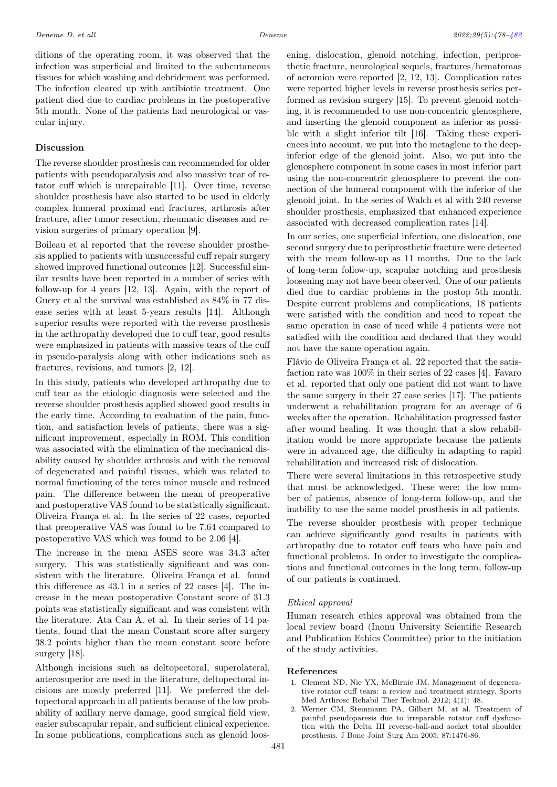ditions of the operating room, it was observed that the infection was superficial and limited to the subcutaneous tissues for which washing and debridement was performed. The infection cleared up with antibiotic treatment. One patient died due to cardiac problems in the postoperative 5th month. None of the patients had neurological or vascular injury.

## Discussion

The reverse shoulder prosthesis can recommended for older patients with pseudoparalysis and also massive tear of rotator cuff which is unrepairable [11]. Over time, reverse shoulder prosthesis have also started to be used in elderly complex humeral proximal end fractures, arthrosis after fracture, after tumor resection, rheumatic diseases and revision surgeries of primary operation [9].

Boileau et al reported that the reverse shoulder prosthesis applied to patients with unsuccessful cuff repair surgery showed improved functional outcomes [12]. Successful similar results have been reported in a number of series with follow-up for 4 years [12, 13]. Again, with the report of Guery et al the survival was established as 84% in 77 disease series with at least 5-years results [14]. Although superior results were reported with the reverse prosthesis in the arthropathy developed due to cuff tear, good results were emphasized in patients with massive tears of the cuff in pseudo-paralysis along with other indications such as fractures, revisions, and tumors [2, 12].

In this study, patients who developed arthropathy due to cuff tear as the etiologic diagnosis were selected and the reverse shoulder prosthesis applied showed good results in the early time. According to evaluation of the pain, function, and satisfaction levels of patients, there was a significant improvement, especially in ROM. This condition was associated with the elimination of the mechanical disability caused by shoulder arthrosis and with the removal of degenerated and painful tissues, which was related to normal functioning of the teres minor muscle and reduced pain. The difference between the mean of preoperative and postoperative VAS found to be statistically significant. Oliveira França et al. In the series of 22 cases, reported that preoperative VAS was found to be 7.64 compared to postoperative VAS which was found to be 2.06 [4].

The increase in the mean ASES score was 34.3 after surgery. This was statistically significant and was consistent with the literature. Oliveira França et al. found this difference as 43.1 in a series of 22 cases [4]. The increase in the mean postoperative Constant score of 31.3 points was statistically significant and was consistent with the literature. Ata Can A. et al. In their series of 14 patients, found that the mean Constant score after surgery 38.2 points higher than the mean constant score before surgery [18].

Although incisions such as deltopectoral, superolateral, anterosuperior are used in the literature, deltopectoral incisions are mostly preferred [11]. We preferred the deltopectoral approach in all patients because of the low probability of axillary nerve damage, good surgical field view, easier subscapular repair, and sufficient clinical experience. In some publications, complications such as glenoid loosening, dislocation, glenoid notching, infection, periprosthetic fracture, neurological sequels, fractures/hematomas of acromion were reported [2, 12, 13]. Complication rates were reported higher levels in reverse prosthesis series performed as revision surgery [15]. To prevent glenoid notching, it is recommended to use non-concentric glenosphere, and inserting the glenoid component as inferior as possible with a slight inferior tilt [16]. Taking these experiences into account, we put into the metaglene to the deepinferior edge of the glenoid joint. Also, we put into the glenosphere component in some cases in most inferior part using the non-concentric glenosphere to prevent the connection of the humeral component with the inferior of the glenoid joint. In the series of Walch et al with 240 reverse shoulder prosthesis, emphasized that enhanced experience associated with decreased complication rates [14].

In our series, one superficial infection, one dislocation, one second surgery due to periprosthetic fracture were detected with the mean follow-up as 11 months. Due to the lack of long-term follow-up, scapular notching and prosthesis loosening may not have been observed. One of our patients died due to cardiac problems in the postop 5th month. Despite current problems and complications, 18 patients were satisfied with the condition and need to repeat the same operation in case of need while 4 patients were not satisfied with the condition and declared that they would not have the same operation again.

Flávio de Oliveira França et al. 22 reported that the satisfaction rate was 100% in their series of 22 cases [4]. Favaro et al. reported that only one patient did not want to have the same surgery in their 27 case series [17]. The patients underwent a rehabilitation program for an average of 6 weeks after the operation. Rehabilitation progressed faster after wound healing. It was thought that a slow rehabilitation would be more appropriate because the patients were in advanced age, the difficulty in adapting to rapid rehabilitation and increased risk of dislocation.

There were several limitations in this retrospective study that must be acknowledged. These were: the low number of patients, absence of long-term follow-up, and the inability to use the same model prosthesis in all patients.

The reverse shoulder prosthesis with proper technique can achieve significantly good results in patients with arthropathy due to rotator cuff tears who have pain and functional problems. In order to investigate the complications and functional outcomes in the long term, follow-up of our patients is continued.

#### Ethical approval

Human research ethics approval was obtained from the local review board (Inonu University Scientific Research and Publication Ethics Committee) prior to the initiation of the study activities.

#### References

- 1. Clement ND, Nie YX, McBirnie JM. Management of degenerative rotator cuff tears: a review and treatment strategy. Sports Med Arthrosc Rehabil Ther Technol. 2012; 4(1): 48.
- 2. Werner CM, Steinmann PA, Gilbart M, at al. Treatment of painful pseudoparesis due to irreparable rotator cuff dysfunction with the Delta III reverse-ball-and socket total shoulder prosthesis. J Bone Joint Surg Am 2005; 87:1476-86.